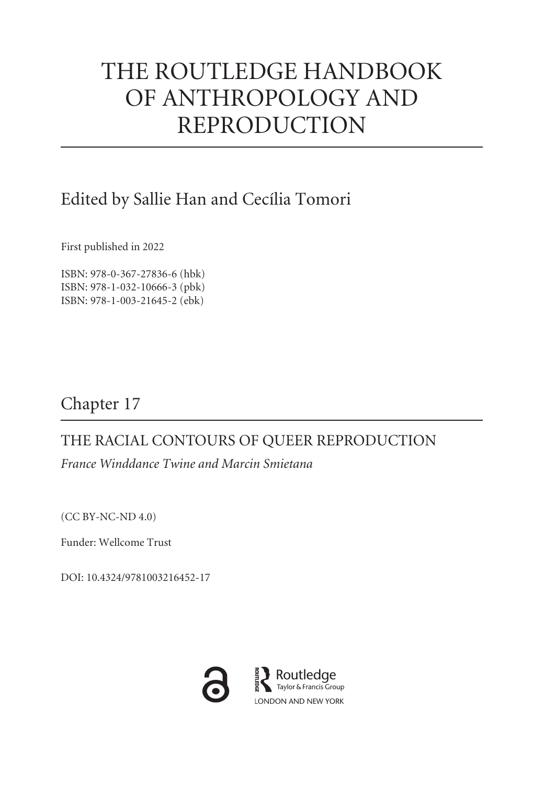## THE ROUTLEDGE HANDBOOK OF ANTHROPOLOGY AND REPRODUCTION

### Edited by Sallie Han and Cecília Tomori

First published in 2022

ISBN: 978-0-367-27836-6 (hbk) ISBN: 978-1-032-10666-3 (pbk) ISBN: 978-1-003-21645-2 (ebk)

## Chapter 17

### THE RACIAL CONTOURS OF QUEER REPRODUCTION

*France Winddance Twine and Marcin Smietana*

(CC BY-NC-ND 4.0)

Funder: Wellcome Trust

DOI: [10.4324/9781003216452-17](http://doi.org/10.4324/9781003216452-17)

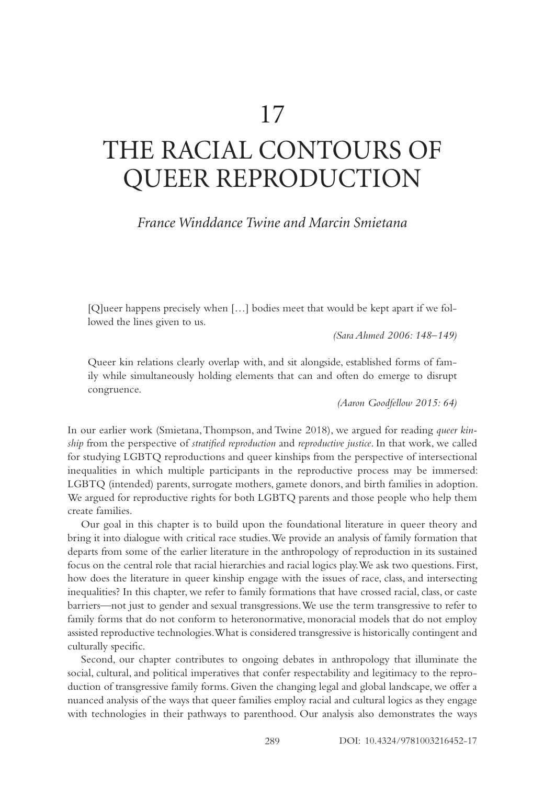## 17

# THE RACIAL CONTOURS OF QUEER REPRODUCTION

*France Winddance Twine and Marcin Smietana*

[Q]ueer happens precisely when […] bodies meet that would be kept apart if we followed the lines given to us.

*(Sara Ahmed 2006: 148–149)*

Queer kin relations clearly overlap with, and sit alongside, established forms of family while simultaneously holding elements that can and often do emerge to disrupt congruence.

*(Aaron Goodfellow 2015: 64)*

In our earlier work (Smietana, Thompson, and Twine 2018), we argued for reading *queer kinship* from the perspective of *stratified reproduction* and *reproductive justice*. In that work, we called for studying LGBTQ reproductions and queer kinships from the perspective of intersectional inequalities in which multiple participants in the reproductive process may be immersed: LGBTQ (intended) parents, surrogate mothers, gamete donors, and birth families in adoption. We argued for reproductive rights for both LGBTQ parents and those people who help them create families.

Our goal in this chapter is to build upon the foundational literature in queer theory and bring it into dialogue with critical race studies. We provide an analysis of family formation that departs from some of the earlier literature in the anthropology of reproduction in its sustained focus on the central role that racial hierarchies and racial logics play. We ask two questions. First, how does the literature in queer kinship engage with the issues of race, class, and intersecting inequalities? In this chapter, we refer to family formations that have crossed racial, class, or caste barriers—not just to gender and sexual transgressions. We use the term transgressive to refer to family forms that do not conform to heteronormative, monoracial models that do not employ assisted reproductive technologies. What is considered transgressive is historically contingent and culturally specific.

Second, our chapter contributes to ongoing debates in anthropology that illuminate the social, cultural, and political imperatives that confer respectability and legitimacy to the reproduction of transgressive family forms. Given the changing legal and global landscape, we offer a nuanced analysis of the ways that queer families employ racial and cultural logics as they engage with technologies in their pathways to parenthood. Our analysis also demonstrates the ways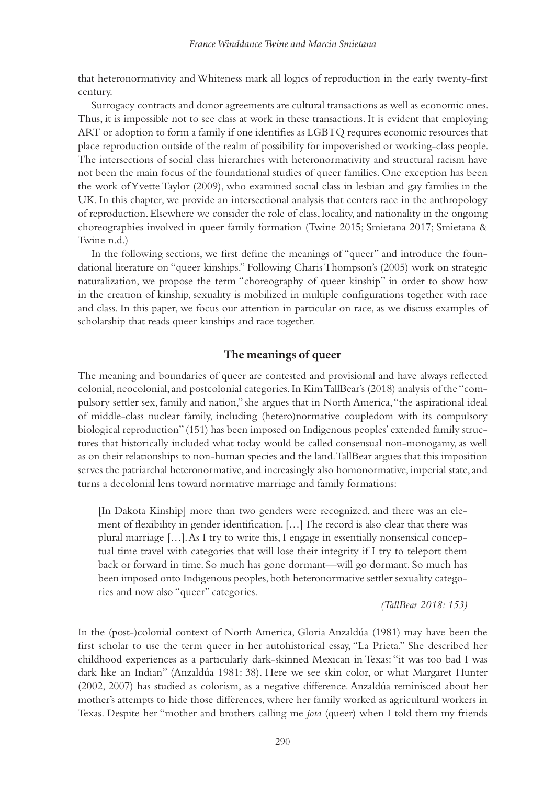that heteronormativity and Whiteness mark all logics of reproduction in the early twenty-first century.

Surrogacy contracts and donor agreements are cultural transactions as well as economic ones. Thus, it is impossible not to see class at work in these transactions. It is evident that employing ART or adoption to form a family if one identifies as LGBTQ requires economic resources that place reproduction outside of the realm of possibility for impoverished or working-class people. The intersections of social class hierarchies with heteronormativity and structural racism have not been the main focus of the foundational studies of queer families. One exception has been the work of Yvette Taylor (2009), who examined social class in lesbian and gay families in the UK. In this chapter, we provide an intersectional analysis that centers race in the anthropology of reproduction. Elsewhere we consider the role of class, locality, and nationality in the ongoing choreographies involved in queer family formation (Twine 2015; Smietana 2017; Smietana & Twine n.d.)

In the following sections, we first define the meanings of "queer" and introduce the foundational literature on "queer kinships." Following Charis Thompson's (2005) work on strategic naturalization, we propose the term "choreography of queer kinship" in order to show how in the creation of kinship, sexuality is mobilized in multiple configurations together with race and class. In this paper, we focus our attention in particular on race, as we discuss examples of scholarship that reads queer kinships and race together.

#### **The meanings of queer**

The meaning and boundaries of queer are contested and provisional and have always reflected colonial, neocolonial, and postcolonial categories. In Kim TallBear's (2018) analysis of the "compulsory settler sex, family and nation," she argues that in North America, "the aspirational ideal of middle-class nuclear family, including (hetero)normative coupledom with its compulsory biological reproduction" (151) has been imposed on Indigenous peoples' extended family structures that historically included what today would be called consensual non-monogamy, as well as on their relationships to non-human species and the land. TallBear argues that this imposition serves the patriarchal heteronormative, and increasingly also homonormative, imperial state, and turns a decolonial lens toward normative marriage and family formations:

[In Dakota Kinship] more than two genders were recognized, and there was an element of flexibility in gender identification. […] The record is also clear that there was plural marriage […]. As I try to write this, I engage in essentially nonsensical conceptual time travel with categories that will lose their integrity if I try to teleport them back or forward in time. So much has gone dormant—will go dormant. So much has been imposed onto Indigenous peoples, both heteronormative settler sexuality categories and now also "queer" categories.

*(TallBear 2018: 153)*

In the (post-)colonial context of North America, Gloria Anzaldúa (1981) may have been the first scholar to use the term queer in her autohistorical essay, "La Prieta." She described her childhood experiences as a particularly dark-skinned Mexican in Texas: "it was too bad I was dark like an Indian" (Anzaldúa 1981: 38). Here we see skin color, or what Margaret Hunter (2002, 2007) has studied as colorism, as a negative difference. Anzaldúa reminisced about her mother's attempts to hide those differences, where her family worked as agricultural workers in Texas. Despite her "mother and brothers calling me *jota* (queer) when I told them my friends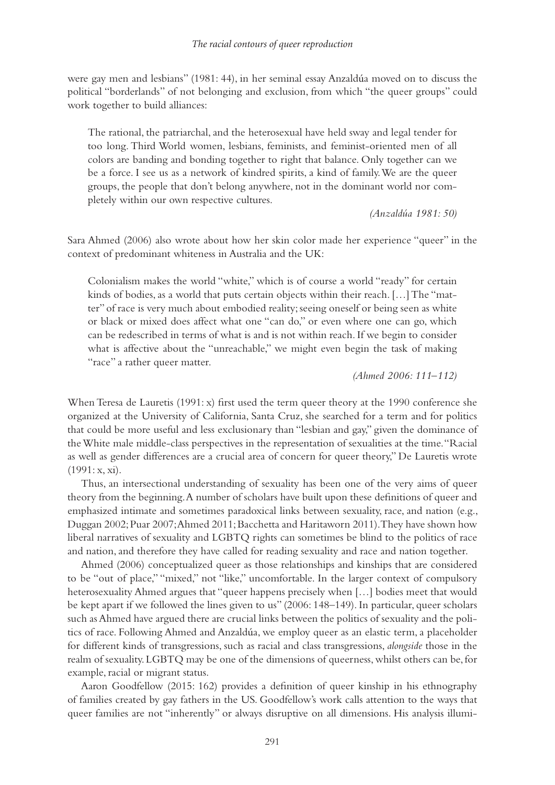were gay men and lesbians" (1981: 44), in her seminal essay Anzaldúa moved on to discuss the political "borderlands" of not belonging and exclusion, from which "the queer groups" could work together to build alliances:

The rational, the patriarchal, and the heterosexual have held sway and legal tender for too long. Third World women, lesbians, feminists, and feminist-oriented men of all colors are banding and bonding together to right that balance. Only together can we be a force. I see us as a network of kindred spirits, a kind of family. We are the queer groups, the people that don't belong anywhere, not in the dominant world nor completely within our own respective cultures.

*(Anzaldúa 1981: 50)*

Sara Ahmed (2006) also wrote about how her skin color made her experience "queer" in the context of predominant whiteness in Australia and the UK:

Colonialism makes the world "white," which is of course a world "ready" for certain kinds of bodies, as a world that puts certain objects within their reach. […] The "matter" of race is very much about embodied reality; seeing oneself or being seen as white or black or mixed does affect what one "can do," or even where one can go, which can be redescribed in terms of what is and is not within reach. If we begin to consider what is affective about the "unreachable," we might even begin the task of making "race" a rather queer matter.

*(Ahmed 2006: 111–112)*

When Teresa de Lauretis (1991: x) first used the term queer theory at the 1990 conference she organized at the University of California, Santa Cruz, she searched for a term and for politics that could be more useful and less exclusionary than "lesbian and gay," given the dominance of the White male middle-class perspectives in the representation of sexualities at the time. "Racial as well as gender differences are a crucial area of concern for queer theory," De Lauretis wrote (1991: x, xi).

Thus, an intersectional understanding of sexuality has been one of the very aims of queer theory from the beginning. A number of scholars have built upon these definitions of queer and emphasized intimate and sometimes paradoxical links between sexuality, race, and nation (e.g., Duggan 2002; Puar 2007; Ahmed 2011; Bacchetta and Haritaworn 2011). They have shown how liberal narratives of sexuality and LGBTQ rights can sometimes be blind to the politics of race and nation, and therefore they have called for reading sexuality and race and nation together.

Ahmed (2006) conceptualized queer as those relationships and kinships that are considered to be "out of place," "mixed," not "like," uncomfortable. In the larger context of compulsory heterosexuality Ahmed argues that "queer happens precisely when […] bodies meet that would be kept apart if we followed the lines given to us" (2006: 148–149). In particular, queer scholars such as Ahmed have argued there are crucial links between the politics of sexuality and the politics of race. Following Ahmed and Anzaldúa, we employ queer as an elastic term, a placeholder for different kinds of transgressions, such as racial and class transgressions, *alongside* those in the realm of sexuality. LGBTQ may be one of the dimensions of queerness, whilst others can be, for example, racial or migrant status.

Aaron Goodfellow (2015: 162) provides a definition of queer kinship in his ethnography of families created by gay fathers in the US. Goodfellow's work calls attention to the ways that queer families are not "inherently" or always disruptive on all dimensions. His analysis illumi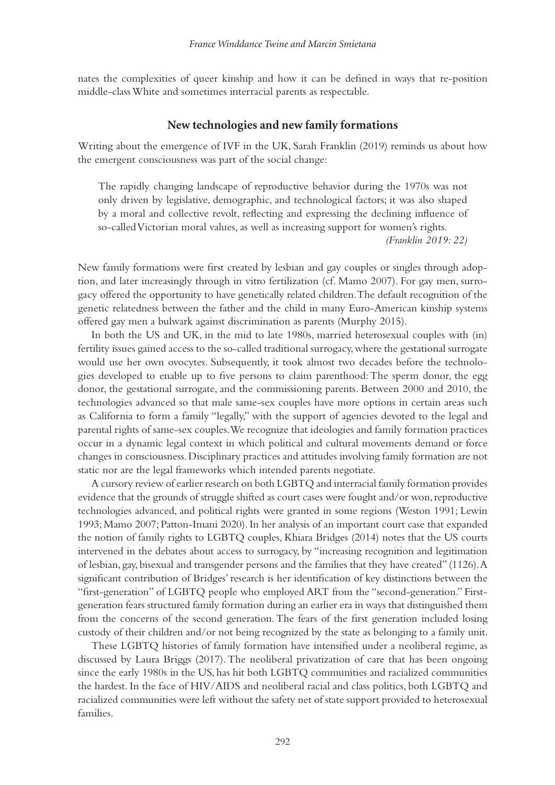nates the complexities of queer kinship and how it can be defined in ways that re-position middle-class White and sometimes interracial parents as respectable.

#### **New technologies and new family formations**

Writing about the emergence of IVF in the UK, Sarah Franklin (2019) reminds us about how the emergent consciousness was part of the social change:

The rapidly changing landscape of reproductive behavior during the 1970s was not only driven by legislative, demographic, and technological factors; it was also shaped by a moral and collective revolt, reflecting and expressing the declining influence of so-called Victorian moral values, as well as increasing support for women's rights. *(Franklin 2019: 22)*

New family formations were first created by lesbian and gay couples or singles through adoption, and later increasingly through in vitro fertilization (cf. Mamo 2007). For gay men, surrogacy offered the opportunity to have genetically related children. The default recognition of the genetic relatedness between the father and the child in many Euro-American kinship systems offered gay men a bulwark against discrimination as parents (Murphy 2015).

In both the US and UK, in the mid to late 1980s, married heterosexual couples with (in) fertility issues gained access to the so-called traditional surrogacy, where the gestational surrogate would use her own ovocytes. Subsequently, it took almost two decades before the technologies developed to enable up to five persons to claim parenthood: The sperm donor, the egg donor, the gestational surrogate, and the commissioning parents. Between 2000 and 2010, the technologies advanced so that male same-sex couples have more options in certain areas such as California to form a family "legally," with the support of agencies devoted to the legal and parental rights of same-sex couples. We recognize that ideologies and family formation practices occur in a dynamic legal context in which political and cultural movements demand or force changes in consciousness. Disciplinary practices and attitudes involving family formation are not static nor are the legal frameworks which intended parents negotiate.

A cursory review of earlier research on both LGBTQ and interracial family formation provides evidence that the grounds of struggle shifted as court cases were fought and/or won, reproductive technologies advanced, and political rights were granted in some regions (Weston 1991; Lewin 1993; Mamo 2007; Patton-Imani 2020). In her analysis of an important court case that expanded the notion of family rights to LGBTQ couples, Khiara Bridges (2014) notes that the US courts intervened in the debates about access to surrogacy, by "increasing recognition and legitimation of lesbian, gay, bisexual and transgender persons and the families that they have created" (1126). A significant contribution of Bridges' research is her identification of key distinctions between the "first-generation" of LGBTQ people who employed ART from the "second-generation." Firstgeneration fears structured family formation during an earlier era in ways that distinguished them from the concerns of the second generation. The fears of the first generation included losing custody of their children and/or not being recognized by the state as belonging to a family unit.

These LGBTQ histories of family formation have intensified under a neoliberal regime, as discussed by Laura Briggs (2017). The neoliberal privatization of care that has been ongoing since the early 1980s in the US, has hit both LGBTQ communities and racialized communities the hardest. In the face of HIV/AIDS and neoliberal racial and class politics, both LGBTQ and racialized communities were left without the safety net of state support provided to heterosexual families.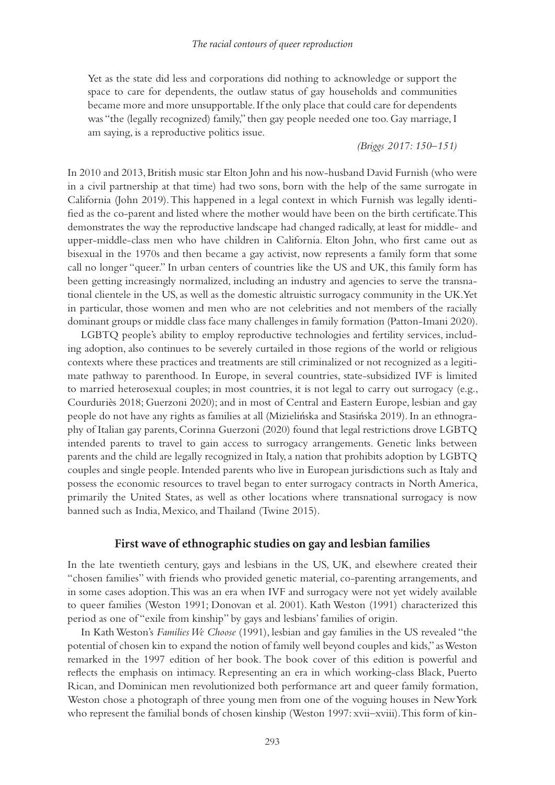Yet as the state did less and corporations did nothing to acknowledge or support the space to care for dependents, the outlaw status of gay households and communities became more and more unsupportable. If the only place that could care for dependents was "the (legally recognized) family," then gay people needed one too. Gay marriage, I am saying, is a reproductive politics issue.

*(Briggs 2017: 150–151)*

In 2010 and 2013, British music star Elton John and his now-husband David Furnish (who were in a civil partnership at that time) had two sons, born with the help of the same surrogate in California (John 2019). This happened in a legal context in which Furnish was legally identified as the co-parent and listed where the mother would have been on the birth certificate. This demonstrates the way the reproductive landscape had changed radically, at least for middle- and upper-middle-class men who have children in California. Elton John, who first came out as bisexual in the 1970s and then became a gay activist, now represents a family form that some call no longer "queer." In urban centers of countries like the US and UK, this family form has been getting increasingly normalized, including an industry and agencies to serve the transnational clientele in the US, as well as the domestic altruistic surrogacy community in the UK. Yet in particular, those women and men who are not celebrities and not members of the racially dominant groups or middle class face many challenges in family formation (Patton-Imani 2020).

LGBTQ people's ability to employ reproductive technologies and fertility services, including adoption, also continues to be severely curtailed in those regions of the world or religious contexts where these practices and treatments are still criminalized or not recognized as a legitimate pathway to parenthood. In Europe, in several countries, state-subsidized IVF is limited to married heterosexual couples; in most countries, it is not legal to carry out surrogacy (e.g., Courduriès 2018; Guerzoni 2020); and in most of Central and Eastern Europe, lesbian and gay people do not have any rights as families at all (Mizielińska and Stasińska 2019). In an ethnography of Italian gay parents, Corinna Guerzoni (2020) found that legal restrictions drove LGBTQ intended parents to travel to gain access to surrogacy arrangements. Genetic links between parents and the child are legally recognized in Italy, a nation that prohibits adoption by LGBTQ couples and single people. Intended parents who live in European jurisdictions such as Italy and possess the economic resources to travel began to enter surrogacy contracts in North America, primarily the United States, as well as other locations where transnational surrogacy is now banned such as India, Mexico, and Thailand (Twine 2015).

#### **First wave of ethnographic studies on gay and lesbian families**

In the late twentieth century, gays and lesbians in the US, UK, and elsewhere created their "chosen families" with friends who provided genetic material, co-parenting arrangements, and in some cases adoption. This was an era when IVF and surrogacy were not yet widely available to queer families (Weston 1991; Donovan et al. 2001). Kath Weston (1991) characterized this period as one of "exile from kinship" by gays and lesbians' families of origin.

In Kath Weston's *Families We Choose* (1991), lesbian and gay families in the US revealed "the potential of chosen kin to expand the notion of family well beyond couples and kids," as Weston remarked in the 1997 edition of her book. The book cover of this edition is powerful and reflects the emphasis on intimacy. Representing an era in which working-class Black, Puerto Rican, and Dominican men revolutionized both performance art and queer family formation, Weston chose a photograph of three young men from one of the voguing houses in New York who represent the familial bonds of chosen kinship (Weston 1997: xvii–xviii). This form of kin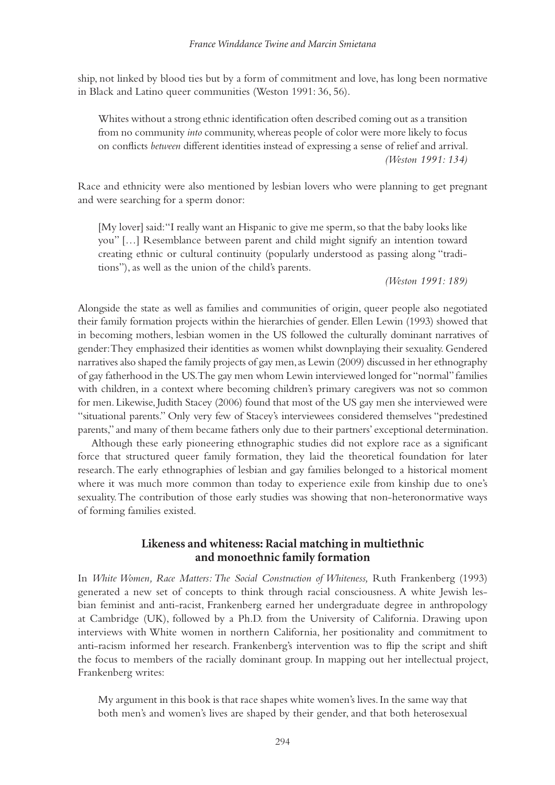ship, not linked by blood ties but by a form of commitment and love, has long been normative in Black and Latino queer communities (Weston 1991: 36, 56).

Whites without a strong ethnic identification often described coming out as a transition from no community *into* community, whereas people of color were more likely to focus on conflicts *between* different identities instead of expressing a sense of relief and arrival. *(Weston 1991: 134)*

Race and ethnicity were also mentioned by lesbian lovers who were planning to get pregnant and were searching for a sperm donor:

[My lover] said: "I really want an Hispanic to give me sperm, so that the baby looks like you" […] Resemblance between parent and child might signify an intention toward creating ethnic or cultural continuity (popularly understood as passing along "traditions"), as well as the union of the child's parents.

*(Weston 1991: 189)*

Alongside the state as well as families and communities of origin, queer people also negotiated their family formation projects within the hierarchies of gender. Ellen Lewin (1993) showed that in becoming mothers, lesbian women in the US followed the culturally dominant narratives of gender: They emphasized their identities as women whilst downplaying their sexuality. Gendered narratives also shaped the family projects of gay men, as Lewin (2009) discussed in her ethnography of gay fatherhood in the US. The gay men whom Lewin interviewed longed for "normal" families with children, in a context where becoming children's primary caregivers was not so common for men. Likewise, Judith Stacey (2006) found that most of the US gay men she interviewed were "situational parents." Only very few of Stacey's interviewees considered themselves "predestined parents," and many of them became fathers only due to their partners' exceptional determination.

Although these early pioneering ethnographic studies did not explore race as a significant force that structured queer family formation, they laid the theoretical foundation for later research. The early ethnographies of lesbian and gay families belonged to a historical moment where it was much more common than today to experience exile from kinship due to one's sexuality. The contribution of those early studies was showing that non-heteronormative ways of forming families existed.

#### **Likeness and whiteness: Racial matching in multiethnic and monoethnic family formation**

In *White Women, Race Matters: The Social Construction of Whiteness,* Ruth Frankenberg (1993) generated a new set of concepts to think through racial consciousness. A white Jewish lesbian feminist and anti-racist, Frankenberg earned her undergraduate degree in anthropology at Cambridge (UK), followed by a Ph.D. from the University of California. Drawing upon interviews with White women in northern California, her positionality and commitment to anti-racism informed her research. Frankenberg's intervention was to flip the script and shift the focus to members of the racially dominant group. In mapping out her intellectual project, Frankenberg writes:

My argument in this book is that race shapes white women's lives. In the same way that both men's and women's lives are shaped by their gender, and that both heterosexual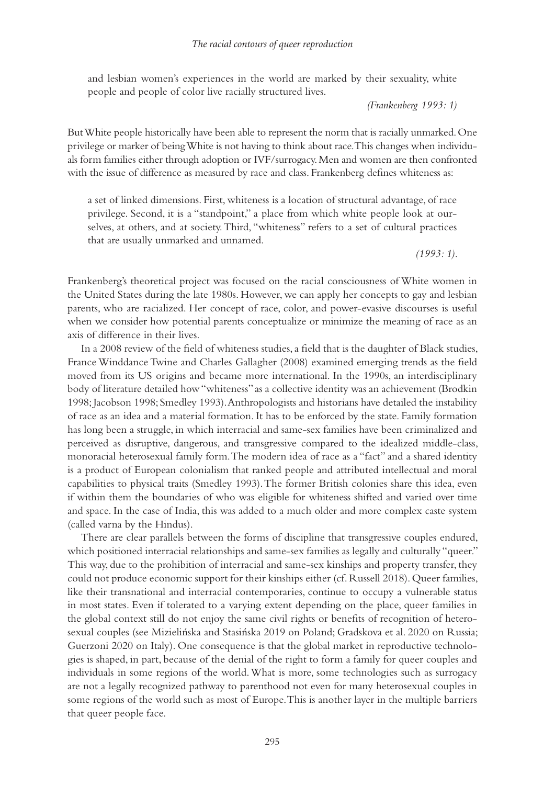and lesbian women's experiences in the world are marked by their sexuality, white people and people of color live racially structured lives.

*(Frankenberg 1993: 1)*

But White people historically have been able to represent the norm that is racially unmarked. One privilege or marker of being White is not having to think about race. This changes when individuals form families either through adoption or IVF/surrogacy. Men and women are then confronted with the issue of difference as measured by race and class. Frankenberg defines whiteness as:

a set of linked dimensions. First, whiteness is a location of structural advantage, of race privilege. Second, it is a "standpoint," a place from which white people look at ourselves, at others, and at society. Third, "whiteness" refers to a set of cultural practices that are usually unmarked and unnamed.

*(1993: 1).*

Frankenberg's theoretical project was focused on the racial consciousness of White women in the United States during the late 1980s. However, we can apply her concepts to gay and lesbian parents, who are racialized. Her concept of race, color, and power-evasive discourses is useful when we consider how potential parents conceptualize or minimize the meaning of race as an axis of difference in their lives.

In a 2008 review of the field of whiteness studies, a field that is the daughter of Black studies, France Winddance Twine and Charles Gallagher (2008) examined emerging trends as the field moved from its US origins and became more international. In the 1990s, an interdisciplinary body of literature detailed how "whiteness" as a collective identity was an achievement (Brodkin 1998; Jacobson 1998; Smedley 1993). Anthropologists and historians have detailed the instability of race as an idea and a material formation. It has to be enforced by the state. Family formation has long been a struggle, in which interracial and same-sex families have been criminalized and perceived as disruptive, dangerous, and transgressive compared to the idealized middle-class, monoracial heterosexual family form. The modern idea of race as a "fact" and a shared identity is a product of European colonialism that ranked people and attributed intellectual and moral capabilities to physical traits (Smedley 1993). The former British colonies share this idea, even if within them the boundaries of who was eligible for whiteness shifted and varied over time and space. In the case of India, this was added to a much older and more complex caste system (called varna by the Hindus).

There are clear parallels between the forms of discipline that transgressive couples endured, which positioned interracial relationships and same-sex families as legally and culturally "queer." This way, due to the prohibition of interracial and same-sex kinships and property transfer, they could not produce economic support for their kinships either (cf. Russell 2018). Queer families, like their transnational and interracial contemporaries, continue to occupy a vulnerable status in most states. Even if tolerated to a varying extent depending on the place, queer families in the global context still do not enjoy the same civil rights or benefits of recognition of heterosexual couples (see Mizielińska and Stasińska 2019 on Poland; Gradskova et al. 2020 on Russia; Guerzoni 2020 on Italy). One consequence is that the global market in reproductive technologies is shaped, in part, because of the denial of the right to form a family for queer couples and individuals in some regions of the world. What is more, some technologies such as surrogacy are not a legally recognized pathway to parenthood not even for many heterosexual couples in some regions of the world such as most of Europe. This is another layer in the multiple barriers that queer people face.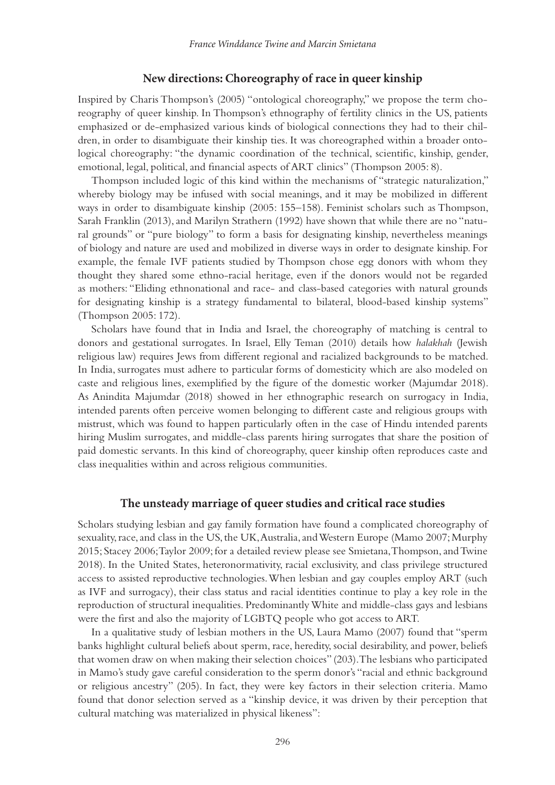#### **New directions: Choreography of race in queer kinship**

Inspired by Charis Thompson's (2005) "ontological choreography," we propose the term choreography of queer kinship. In Thompson's ethnography of fertility clinics in the US, patients emphasized or de-emphasized various kinds of biological connections they had to their children, in order to disambiguate their kinship ties. It was choreographed within a broader ontological choreography: "the dynamic coordination of the technical, scientific, kinship, gender, emotional, legal, political, and financial aspects of ART clinics" (Thompson 2005: 8).

Thompson included logic of this kind within the mechanisms of "strategic naturalization," whereby biology may be infused with social meanings, and it may be mobilized in different ways in order to disambiguate kinship (2005: 155–158). Feminist scholars such as Thompson, Sarah Franklin (2013), and Marilyn Strathern (1992) have shown that while there are no "natural grounds" or "pure biology" to form a basis for designating kinship, nevertheless meanings of biology and nature are used and mobilized in diverse ways in order to designate kinship. For example, the female IVF patients studied by Thompson chose egg donors with whom they thought they shared some ethno-racial heritage, even if the donors would not be regarded as mothers: "Eliding ethnonational and race- and class-based categories with natural grounds for designating kinship is a strategy fundamental to bilateral, blood-based kinship systems" (Thompson 2005: 172).

Scholars have found that in India and Israel, the choreography of matching is central to donors and gestational surrogates. In Israel, Elly Teman (2010) details how *halakhah* (Jewish religious law) requires Jews from different regional and racialized backgrounds to be matched. In India, surrogates must adhere to particular forms of domesticity which are also modeled on caste and religious lines, exemplified by the figure of the domestic worker (Majumdar 2018). As Anindita Majumdar (2018) showed in her ethnographic research on surrogacy in India, intended parents often perceive women belonging to different caste and religious groups with mistrust, which was found to happen particularly often in the case of Hindu intended parents hiring Muslim surrogates, and middle-class parents hiring surrogates that share the position of paid domestic servants. In this kind of choreography, queer kinship often reproduces caste and class inequalities within and across religious communities.

#### **The unsteady marriage of queer studies and critical race studies**

Scholars studying lesbian and gay family formation have found a complicated choreography of sexuality, race, and class in the US, the UK, Australia, and Western Europe (Mamo 2007; Murphy 2015; Stacey 2006; Taylor 2009; for a detailed review please see Smietana, Thompson, and Twine 2018). In the United States, heteronormativity, racial exclusivity, and class privilege structured access to assisted reproductive technologies. When lesbian and gay couples employ ART (such as IVF and surrogacy), their class status and racial identities continue to play a key role in the reproduction of structural inequalities. Predominantly White and middle-class gays and lesbians were the first and also the majority of LGBTQ people who got access to ART.

In a qualitative study of lesbian mothers in the US, Laura Mamo (2007) found that "sperm banks highlight cultural beliefs about sperm, race, heredity, social desirability, and power, beliefs that women draw on when making their selection choices" (203). The lesbians who participated in Mamo's study gave careful consideration to the sperm donor's "racial and ethnic background or religious ancestry" (205). In fact, they were key factors in their selection criteria. Mamo found that donor selection served as a "kinship device, it was driven by their perception that cultural matching was materialized in physical likeness":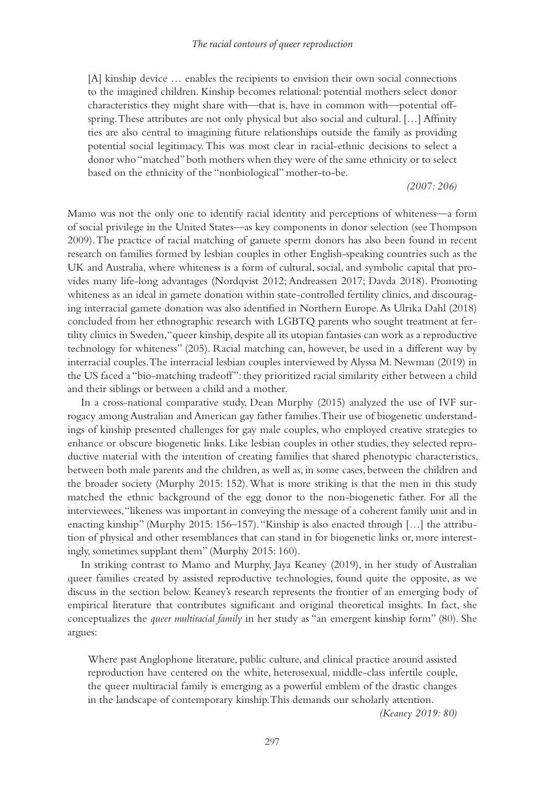[A] kinship device … enables the recipients to envision their own social connections to the imagined children. Kinship becomes relational: potential mothers select donor characteristics they might share with—that is, have in common with—potential offspring. These attributes are not only physical but also social and cultural. […] Affinity ties are also central to imagining future relationships outside the family as providing potential social legitimacy. This was most clear in racial-ethnic decisions to select a donor who "matched" both mothers when they were of the same ethnicity or to select based on the ethnicity of the "nonbiological" mother-to-be.

*(2007: 206)*

Mamo was not the only one to identify racial identity and perceptions of whiteness—a form of social privilege in the United States—as key components in donor selection (see Thompson 2009). The practice of racial matching of gamete sperm donors has also been found in recent research on families formed by lesbian couples in other English-speaking countries such as the UK and Australia, where whiteness is a form of cultural, social, and symbolic capital that provides many life-long advantages (Nordqvist 2012; Andreassen 2017; Davda 2018). Promoting whiteness as an ideal in gamete donation within state-controlled fertility clinics, and discouraging interracial gamete donation was also identified in Northern Europe. As Ulrika Dahl (2018) concluded from her ethnographic research with LGBTQ parents who sought treatment at fertility clinics in Sweden, "queer kinship, despite all its utopian fantasies can work as a reproductive technology for whiteness" (205). Racial matching can, however, be used in a different way by interracial couples. The interracial lesbian couples interviewed by Alyssa M. Newman (2019) in the US faced a "bio-matching tradeoff": they prioritized racial similarity either between a child and their siblings or between a child and a mother.

In a cross-national comparative study, Dean Murphy (2015) analyzed the use of IVF surrogacy among Australian and American gay father families. Their use of biogenetic understandings of kinship presented challenges for gay male couples, who employed creative strategies to enhance or obscure biogenetic links. Like lesbian couples in other studies, they selected reproductive material with the intention of creating families that shared phenotypic characteristics, between both male parents and the children, as well as, in some cases, between the children and the broader society (Murphy 2015: 152). What is more striking is that the men in this study matched the ethnic background of the egg donor to the non-biogenetic father. For all the interviewees, "likeness was important in conveying the message of a coherent family unit and in enacting kinship" (Murphy 2015: 156–157). "Kinship is also enacted through […] the attribution of physical and other resemblances that can stand in for biogenetic links or, more interestingly, sometimes supplant them" (Murphy 2015: 160).

In striking contrast to Mamo and Murphy, Jaya Keaney (2019), in her study of Australian queer families created by assisted reproductive technologies, found quite the opposite, as we discuss in the section below. Keaney's research represents the frontier of an emerging body of empirical literature that contributes significant and original theoretical insights. In fact, she conceptualizes the *queer multiracial family* in her study as "an emergent kinship form" (80). She argues:

Where past Anglophone literature, public culture, and clinical practice around assisted reproduction have centered on the white, heterosexual, middle-class infertile couple, the queer multiracial family is emerging as a powerful emblem of the drastic changes in the landscape of contemporary kinship. This demands our scholarly attention.

*(Keaney 2019: 80)*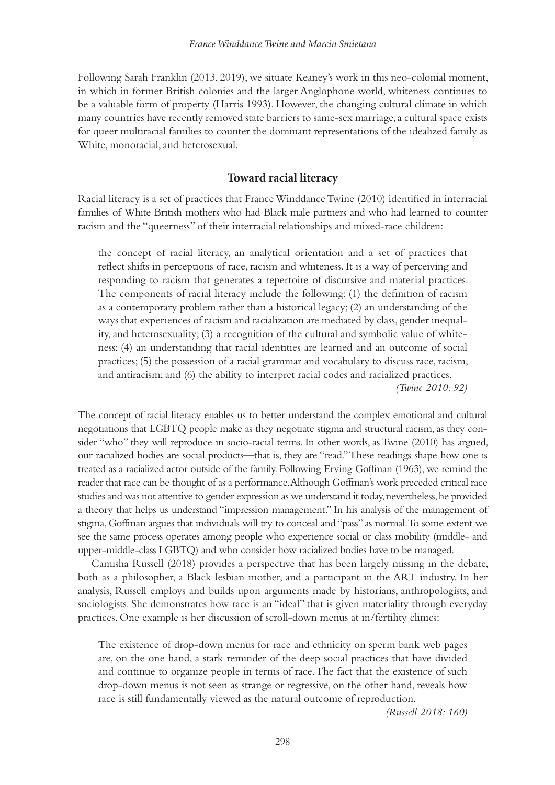Following Sarah Franklin (2013, 2019), we situate Keaney's work in this neo-colonial moment, in which in former British colonies and the larger Anglophone world, whiteness continues to be a valuable form of property (Harris 1993). However, the changing cultural climate in which many countries have recently removed state barriers to same-sex marriage, a cultural space exists for queer multiracial families to counter the dominant representations of the idealized family as White, monoracial, and heterosexual.

#### **Toward racial literacy**

Racial literacy is a set of practices that France Winddance Twine (2010) identified in interracial families of White British mothers who had Black male partners and who had learned to counter racism and the "queerness" of their interracial relationships and mixed-race children:

the concept of racial literacy, an analytical orientation and a set of practices that reflect shifts in perceptions of race, racism and whiteness. It is a way of perceiving and responding to racism that generates a repertoire of discursive and material practices. The components of racial literacy include the following: (1) the definition of racism as a contemporary problem rather than a historical legacy; (2) an understanding of the ways that experiences of racism and racialization are mediated by class, gender inequality, and heterosexuality; (3) a recognition of the cultural and symbolic value of whiteness; (4) an understanding that racial identities are learned and an outcome of social practices; (5) the possession of a racial grammar and vocabulary to discuss race, racism, and antiracism; and (6) the ability to interpret racial codes and racialized practices. *(Twine 2010: 92)*

The concept of racial literacy enables us to better understand the complex emotional and cultural negotiations that LGBTQ people make as they negotiate stigma and structural racism, as they consider "who" they will reproduce in socio-racial terms. In other words, as Twine (2010) has argued, our racialized bodies are social products—that is, they are "read." These readings shape how one is treated as a racialized actor outside of the family. Following Erving Goffman (1963), we remind the reader that race can be thought of as a performance. Although Goffman's work preceded critical race studies and was not attentive to gender expression as we understand it today, nevertheless, he provided a theory that helps us understand "impression management." In his analysis of the management of stigma, Goffman argues that individuals will try to conceal and "pass" as normal. To some extent we see the same process operates among people who experience social or class mobility (middle- and upper-middle-class LGBTQ) and who consider how racialized bodies have to be managed.

Camisha Russell (2018) provides a perspective that has been largely missing in the debate, both as a philosopher, a Black lesbian mother, and a participant in the ART industry. In her analysis, Russell employs and builds upon arguments made by historians, anthropologists, and sociologists. She demonstrates how race is an "ideal" that is given materiality through everyday practices. One example is her discussion of scroll-down menus at in/fertility clinics:

The existence of drop-down menus for race and ethnicity on sperm bank web pages are, on the one hand, a stark reminder of the deep social practices that have divided and continue to organize people in terms of race. The fact that the existence of such drop-down menus is not seen as strange or regressive, on the other hand, reveals how race is still fundamentally viewed as the natural outcome of reproduction.

*(Russell 2018: 160)*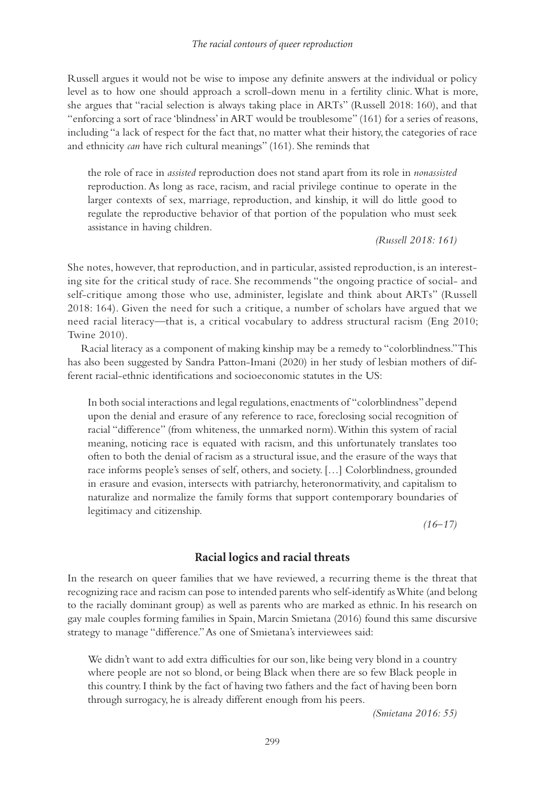Russell argues it would not be wise to impose any definite answers at the individual or policy level as to how one should approach a scroll-down menu in a fertility clinic. What is more, she argues that "racial selection is always taking place in ARTs" (Russell 2018: 160), and that "enforcing a sort of race 'blindness' in ART would be troublesome" (161) for a series of reasons, including "a lack of respect for the fact that, no matter what their history, the categories of race and ethnicity *can* have rich cultural meanings" (161). She reminds that

the role of race in *assisted* reproduction does not stand apart from its role in *nonassisted* reproduction. As long as race, racism, and racial privilege continue to operate in the larger contexts of sex, marriage, reproduction, and kinship, it will do little good to regulate the reproductive behavior of that portion of the population who must seek assistance in having children.

*(Russell 2018: 161)*

She notes, however, that reproduction, and in particular, assisted reproduction, is an interesting site for the critical study of race. She recommends "the ongoing practice of social- and self-critique among those who use, administer, legislate and think about ARTs" (Russell 2018: 164). Given the need for such a critique, a number of scholars have argued that we need racial literacy—that is, a critical vocabulary to address structural racism (Eng 2010; Twine 2010).

Racial literacy as a component of making kinship may be a remedy to "colorblindness." This has also been suggested by Sandra Patton-Imani (2020) in her study of lesbian mothers of different racial-ethnic identifications and socioeconomic statutes in the US:

In both social interactions and legal regulations, enactments of "colorblindness'' depend upon the denial and erasure of any reference to race, foreclosing social recognition of racial "difference" (from whiteness, the unmarked norm). Within this system of racial meaning, noticing race is equated with racism, and this unfortunately translates too often to both the denial of racism as a structural issue, and the erasure of the ways that race informs people's senses of self, others, and society. […] Colorblindness, grounded in erasure and evasion, intersects with patriarchy, heteronormativity, and capitalism to naturalize and normalize the family forms that support contemporary boundaries of legitimacy and citizenship.

*(16–17)*

#### **Racial logics and racial threats**

In the research on queer families that we have reviewed, a recurring theme is the threat that recognizing race and racism can pose to intended parents who self-identify as White (and belong to the racially dominant group) as well as parents who are marked as ethnic. In his research on gay male couples forming families in Spain, Marcin Smietana (2016) found this same discursive strategy to manage "difference." As one of Smietana's interviewees said:

We didn't want to add extra difficulties for our son, like being very blond in a country where people are not so blond, or being Black when there are so few Black people in this country. I think by the fact of having two fathers and the fact of having been born through surrogacy, he is already different enough from his peers.

*(Smietana 2016: 55)*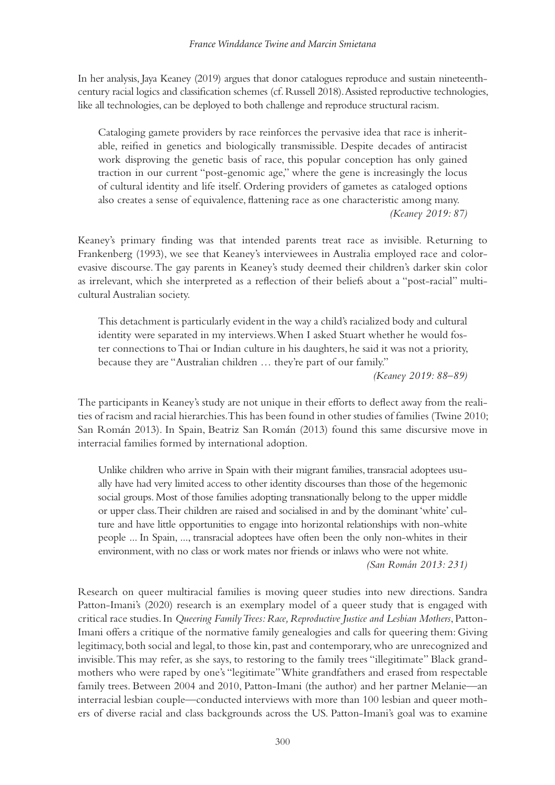In her analysis, Jaya Keaney (2019) argues that donor catalogues reproduce and sustain nineteenthcentury racial logics and classification schemes (cf. Russell 2018). Assisted reproductive technologies, like all technologies, can be deployed to both challenge and reproduce structural racism.

Cataloging gamete providers by race reinforces the pervasive idea that race is inheritable, reified in genetics and biologically transmissible. Despite decades of antiracist work disproving the genetic basis of race, this popular conception has only gained traction in our current "post-genomic age," where the gene is increasingly the locus of cultural identity and life itself. Ordering providers of gametes as cataloged options also creates a sense of equivalence, flattening race as one characteristic among many. *(Keaney 2019: 87)*

Keaney's primary finding was that intended parents treat race as invisible. Returning to Frankenberg (1993), we see that Keaney's interviewees in Australia employed race and colorevasive discourse. The gay parents in Keaney's study deemed their children's darker skin color as irrelevant, which she interpreted as a reflection of their beliefs about a "post-racial" multicultural Australian society.

This detachment is particularly evident in the way a child's racialized body and cultural identity were separated in my interviews. When I asked Stuart whether he would foster connections to Thai or Indian culture in his daughters, he said it was not a priority, because they are "Australian children ... they're part of our family."

*(Keaney 2019: 88–89)*

The participants in Keaney's study are not unique in their efforts to deflect away from the realities of racism and racial hierarchies. This has been found in other studies of families (Twine 2010; San Román 2013). In Spain, Beatriz San Román (2013) found this same discursive move in interracial families formed by international adoption.

Unlike children who arrive in Spain with their migrant families, transracial adoptees usually have had very limited access to other identity discourses than those of the hegemonic social groups. Most of those families adopting transnationally belong to the upper middle or upper class. Their children are raised and socialised in and by the dominant 'white' culture and have little opportunities to engage into horizontal relationships with non-white people ... In Spain, ..., transracial adoptees have often been the only non-whites in their environment, with no class or work mates nor friends or inlaws who were not white. *(San Román 2013: 231)*

Research on queer multiracial families is moving queer studies into new directions. Sandra Patton-Imani's (2020) research is an exemplary model of a queer study that is engaged with critical race studies. In *Queering Family Trees: Race, Reproductive Justice and Lesbian Mothers*, Patton-Imani offers a critique of the normative family genealogies and calls for queering them: Giving legitimacy, both social and legal, to those kin, past and contemporary, who are unrecognized and invisible. This may refer, as she says, to restoring to the family trees "illegitimate" Black grandmothers who were raped by one's "legitimate" White grandfathers and erased from respectable family trees. Between 2004 and 2010, Patton-Imani (the author) and her partner Melanie—an interracial lesbian couple—conducted interviews with more than 100 lesbian and queer mothers of diverse racial and class backgrounds across the US. Patton-Imani's goal was to examine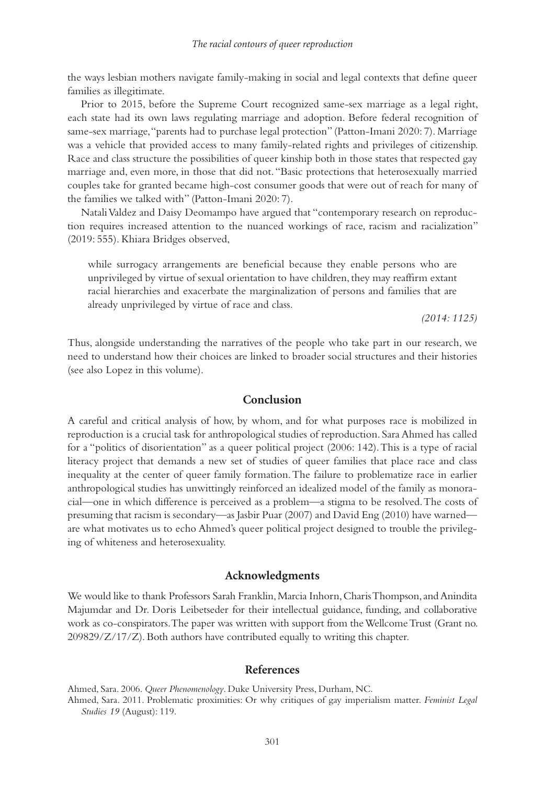the ways lesbian mothers navigate family-making in social and legal contexts that define queer families as illegitimate.

Prior to 2015, before the Supreme Court recognized same-sex marriage as a legal right, each state had its own laws regulating marriage and adoption. Before federal recognition of same-sex marriage, "parents had to purchase legal protection" (Patton-Imani 2020: 7). Marriage was a vehicle that provided access to many family-related rights and privileges of citizenship. Race and class structure the possibilities of queer kinship both in those states that respected gay marriage and, even more, in those that did not. "Basic protections that heterosexually married couples take for granted became high-cost consumer goods that were out of reach for many of the families we talked with" (Patton-Imani 2020: 7).

Natali Valdez and Daisy Deomampo have argued that "contemporary research on reproduction requires increased attention to the nuanced workings of race, racism and racialization" (2019: 555). Khiara Bridges observed,

while surrogacy arrangements are beneficial because they enable persons who are unprivileged by virtue of sexual orientation to have children, they may reaffirm extant racial hierarchies and exacerbate the marginalization of persons and families that are already unprivileged by virtue of race and class.

*(2014: 1125)*

Thus, alongside understanding the narratives of the people who take part in our research, we need to understand how their choices are linked to broader social structures and their histories (see also Lopez in this volume).

#### **Conclusion**

A careful and critical analysis of how, by whom, and for what purposes race is mobilized in reproduction is a crucial task for anthropological studies of reproduction. Sara Ahmed has called for a "politics of disorientation" as a queer political project (2006: 142). This is a type of racial literacy project that demands a new set of studies of queer families that place race and class inequality at the center of queer family formation. The failure to problematize race in earlier anthropological studies has unwittingly reinforced an idealized model of the family as monoracial—one in which difference is perceived as a problem—a stigma to be resolved. The costs of presuming that racism is secondary—as Jasbir Puar (2007) and David Eng (2010) have warned are what motivates us to echo Ahmed's queer political project designed to trouble the privileging of whiteness and heterosexuality.

#### **Acknowledgments**

We would like to thank Professors Sarah Franklin, Marcia Inhorn, Charis Thompson, and Anindita Majumdar and Dr. Doris Leibetseder for their intellectual guidance, funding, and collaborative work as co-conspirators. The paper was written with support from the Wellcome Trust (Grant no. 209829/Z/17/Z). Both authors have contributed equally to writing this chapter.

#### **References**

Ahmed, Sara. 2006. *Queer Phenomenology*. Duke University Press, Durham, NC.

Ahmed, Sara. 2011. Problematic proximities: Or why critiques of gay imperialism matter. *Feminist Legal Studies 19* (August): 119.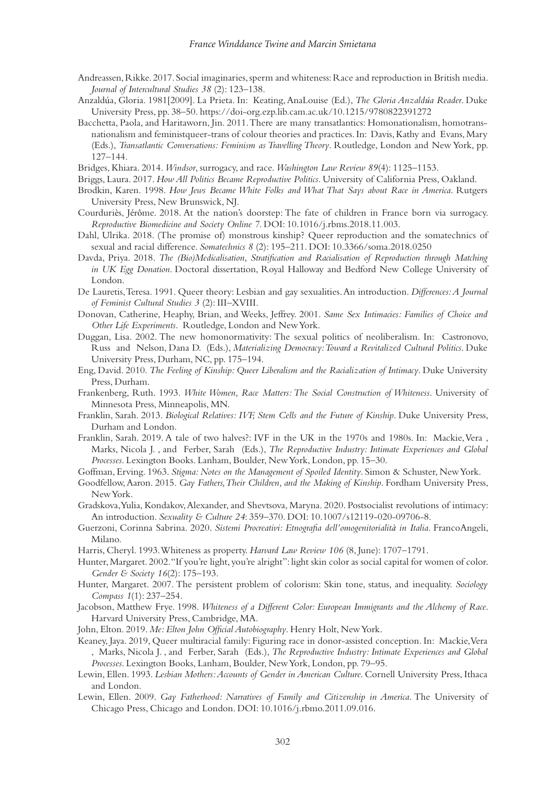- Andreassen, Rikke. 2017. Social imaginaries, sperm and whiteness: Race and reproduction in British media. *Journal of Intercultural Studies 38* (2): 123–138.
- Anzaldúa, Gloria. 1981[2009]. La Prieta. In: Keating, AnaLouise (Ed.), *The Gloria Anzaldúa Reader*. Duke University Press, pp. 38–50. <https://doi-org.ezp.lib.cam.ac.uk/10.1215/9780822391272>
- Bacchetta, Paola, and Haritaworn, Jin. 2011. There are many transatlantics: Homonationalism, homotransnationalism and feministqueer-trans of colour theories and practices. In: Davis, Kathy and Evans, Mary (Eds.), *Transatlantic Conversations: Feminism as Travelling Theory*. Routledge, London and New York, pp. 127–144.
- Bridges, Khiara. 2014. *Windsor*, surrogacy, and race. *Washington Law Review 89*(4): 1125–1153.
- Briggs, Laura. 2017. *How All Politics Became Reproductive Politics*. University of California Press, Oakland.
- Brodkin, Karen. 1998. *How Jews Became White Folks and What That Says about Race in America*. Rutgers University Press, New Brunswick, NJ.
- Courduriès, Jérôme. 2018. At the nation's doorstep: The fate of children in France born via surrogacy. *Reproductive Biomedicine and Society Online 7*. DOI: [10.1016/j.rbms.2018.11.003.](http://doi.org/10.1016/j.rbms.2018.11.003)
- Dahl, Ulrika. 2018. (The promise of) monstrous kinship? Queer reproduction and the somatechnics of sexual and racial difference. *Somatechnics 8* (2): 195–211. DOI: [10.3366/soma.2018.0250](http://dx.doi.org/10.3366/soma.2018.0250)
- Davda, Priya. 2018. *The (Bio)Medicalisation, Stratification and Racialisation of Reproduction through Matching in UK Egg Donation*. Doctoral dissertation, Royal Halloway and Bedford New College University of London.
- De Lauretis, Teresa. 1991. Queer theory: Lesbian and gay sexualities. An introduction. *Differences: A Journal of Feminist Cultural Studies 3* (2): III–XVIII.
- Donovan, Catherine, Heaphy, Brian, and Weeks, Jeffrey. 2001. *Same Sex Intimacies: Families of Choice and Other Life Experiments*. Routledge, London and New York.
- Duggan, Lisa. 2002. The new homonormativity: The sexual politics of neoliberalism. In: Castronovo, Russ and Nelson, Dana D. (Eds.), *Materializing Democracy: Toward a Revitalized Cultural Politics*. Duke University Press, Durham, NC, pp. 175–194.
- Eng, David. 2010. *The Feeling of Kinship: Queer Liberalism and the Racialization of Intimacy*. Duke University Press, Durham.
- Frankenberg, Ruth. 1993. *White Women, Race Matters: The Social Construction of Whiteness*. University of Minnesota Press, Minneapolis, MN.
- Franklin, Sarah. 2013. *Biological Relatives: IVF, Stem Cells and the Future of Kinship*. Duke University Press, Durham and London.
- Franklin, Sarah. 2019. A tale of two halves?: IVF in the UK in the 1970s and 1980s. In: Mackie, Vera , Marks, Nicola J. , and Ferber, Sarah (Eds.), *The Reproductive Industry: Intimate Experiences and Global Processes*. Lexington Books. Lanham, Boulder, New York, London, pp. 15–30.
- Goffman, Erving. 1963. *Stigma: Notes on the Management of Spoiled Identity*. Simon & Schuster, New York.
- Goodfellow, Aaron. 2015. *Gay Fathers, Their Children, and the Making of Kinship*. Fordham University Press, New York.
- Gradskova, Yulia, Kondakov, Alexander, and Shevtsova, Maryna. 2020. Postsocialist revolutions of intimacy: An introduction. *Sexuality & Culture 24*: 359–370. DOI: [10.1007/s12119-020-09706-8.](http://doi.org/10.1007/s12119-020-09706-8)
- Guerzoni, Corinna Sabrina. 2020. *Sistemi Procreativi: Etnografia dell'omogenitorialità in Italia*. FrancoAngeli, Milano.
- Harris, Cheryl. 1993. Whiteness as property. *Harvard Law Review 106* (8, June): 1707–1791.
- Hunter, Margaret. 2002. "If you're light, you're alright": light skin color as social capital for women of color. *Gender & Society 16*(2): 175–193.
- Hunter, Margaret. 2007. The persistent problem of colorism: Skin tone, status, and inequality. *Sociology Compass 1*(1): 237–254.
- Jacobson, Matthew Frye. 1998. *Whiteness of a Different Color: European Immigrants and the Alchemy of Race*. Harvard University Press, Cambridge, MA.
- John, Elton. 2019. *Me: Elton John Official Autobiography*. Henry Holt, New York.
- Keaney, Jaya. 2019, Queer multiracial family: Figuring race in donor-assisted conception. In: Mackie, Vera , Marks, Nicola J. , and Ferber, Sarah (Eds.), *The Reproductive Industry: Intimate Experiences and Global Processes*. Lexington Books, Lanham, Boulder, New York, London, pp. 79–95.
- Lewin, Ellen. 1993. *Lesbian Mothers: Accounts of Gender in American Culture*. Cornell University Press, Ithaca and London.
- Lewin, Ellen. 2009. *Gay Fatherhood: Narratives of Family and Citizenship in America*. The University of Chicago Press, Chicago and London. [DOI:](http://dx.doi.org/DOI: ) [10.1016/j.rbmo.2011.09.016.](http://dx.doi.org/10.1016/j.rbmo.2011.09.016)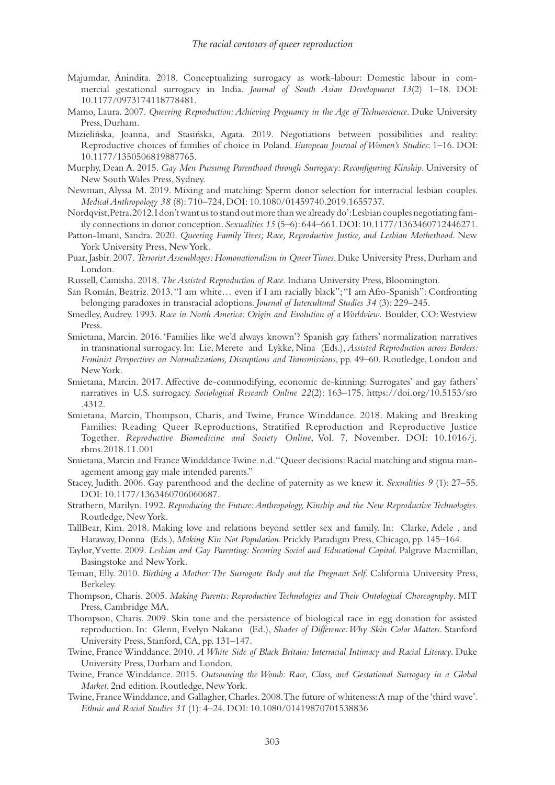- Majumdar, Anindita. 2018. Conceptualizing surrogacy as work-labour: Domestic labour in commercial gestational surrogacy in India. *Journal of South Asian Development 13*(2) 1–18. DOI: [10.1177/0973174118778481.](http://dx.doi.org/10.1177/0973174118778481)
- Mamo, Laura. 2007. *Queering Reproduction: Achieving Pregnancy in the Age of Technoscience*. Duke University Press, Durham.
- Mizielińska, Joanna, and Stasińska, Agata. 2019. Negotiations between possibilities and reality: Reproductive choices of families of choice in Poland. *European Journal of Women's Studies*: 1–16. DOI: [10.1177/1350506819887765.](http://dx.doi.org/10.1177/1350506819887765)
- Murphy, Dean A. 2015. *Gay Men Pursuing Parenthood through Surrogacy: Reconfiguring Kinship*. University of New South Wales Press, Sydney.
- Newman, Alyssa M. 2019. Mixing and matching: Sperm donor selection for interracial lesbian couples. *Medical Anthropology 38* (8): 710–724, DOI: [10.1080/01459740.2019.1655737.](http://dx.doi.org/10.1080/01459740.2019.1655737)
- Nordqvist, Petra. 2012. I don't want us to stand out more than we already do': Lesbian couples negotiating family connections in donor conception. *Sexualities 15* (5–6): 644–661. DOI: [10.1177/1363460712446271.](http://dx.doi.org/10.1177/1363460712446271)
- Patton-Imani, Sandra. 2020. *Queering Family Trees; Race, Reproductive Justice, and Lesbian Motherhood*. New York University Press, New York.
- Puar, Jasbir. 2007. *Terrorist Assemblages: Homonationalism in Queer Times*. Duke University Press, Durham and London.
- Russell, Camisha. 2018. *The Assisted Reproduction of Race*. Indiana University Press, Bloomington.
- San Román, Beatriz. 2013. "I am white… even if I am racially black"; "I am Afro-Spanish": Confronting belonging paradoxes in transracial adoptions. *Journal of Intercultural Studies 34* (3): 229–245.
- Smedley, Audrey. 1993. *Race in North America: Origin and Evolution of a Worldview.* Boulder, CO: Westview Press.
- Smietana, Marcin. 2016. 'Families like we'd always known'? Spanish gay fathers' normalization narratives in transnational surrogacy. In: Lie, Merete and Lykke, Nina (Eds.), *Assisted Reproduction across Borders: Feminist Perspectives on Normalizations, Disruptions and Transmissions*, pp. 49–60. Routledge, London and New York.
- Smietana, Marcin. 2017. Affective de-commodifying, economic de-kinning: Surrogates' and gay fathers' narratives in U.S. surrogacy. *Sociological Research Online 22*(2): 163–175. [https://doi.org/10.5153/sro](https://doi.org/10.5153/sro.4312) [.4312](https://doi.org/10.5153/sro.4312).
- Smietana, Marcin, Thompson, Charis, and Twine, France Winddance. 2018. Making and Breaking Families: Reading Queer Reproductions, Stratified Reproduction and Reproductive Justice Together. *[Reproductive Biomedicine and Society Online](http://doi.org/10.1016/j.rbms.2018.11.001)*, Vol. 7, November. DOI: 10.1016/j. rbms.2018.11.001
- Smietana, Marcin and France Windddance Twine. n.d. "Queer decisions: Racial matching and stigma management among gay male intended parents."
- Stacey, Judith. 2006. Gay parenthood and the decline of paternity as we knew it. *Sexualities 9* (1): 27–55. [DOI:](http://dx.doi.org/DOI: ) [10.1177/1363460706060687](http://dx.doi.org/10.1177/1363460706060687).
- Strathern, Marilyn. 1992. *Reproducing the Future: Anthropology, Kinship and the New Reproductive Technologies*. Routledge, New York.
- TallBear, Kim. 2018. Making love and relations beyond settler sex and family. In: Clarke, Adele , and Haraway, Donna (Eds.), *Making Kin Not Population*. Prickly Paradigm Press, Chicago, pp. 145–164.
- Taylor, Yvette. 2009. *Lesbian and Gay Parenting: Securing Social and Educational Capital*. Palgrave Macmillan, Basingstoke and New York.
- Teman, Elly. 2010. *Birthing a Mother: The Surrogate Body and the Pregnant Self*. California University Press, Berkeley.
- Thompson, Charis. 2005. *Making Parents: Reproductive Technologies and Their Ontological Choreography*. MIT Press, Cambridge MA.
- Thompson, Charis. 2009. Skin tone and the persistence of biological race in egg donation for assisted reproduction. In: Glenn, Evelyn Nakano (Ed.), *Shades of Difference: Why Skin Color Matters*. Stanford University Press, Stanford, CA, pp. 131–147.
- Twine, France Winddance. 2010. *A White Side of Black Britain: Interracial Intimacy and Racial Literacy*. Duke University Press, Durham and London.
- Twine, France Winddance. 2015. *Outsourcing the Womb: Race, Class, and Gestational Surrogacy in a Global Market*. 2nd edition. Routledge, New York.
- Twine, France Winddance, and Gallagher, Charles. 2008. The future of whiteness: A map of the 'third wave'. *Ethnic and Racial Studies 31* (1): 4–24. DOI: [10.1080/01419870701538836](http://dx.doi.org/10.1080/01419870701538836)